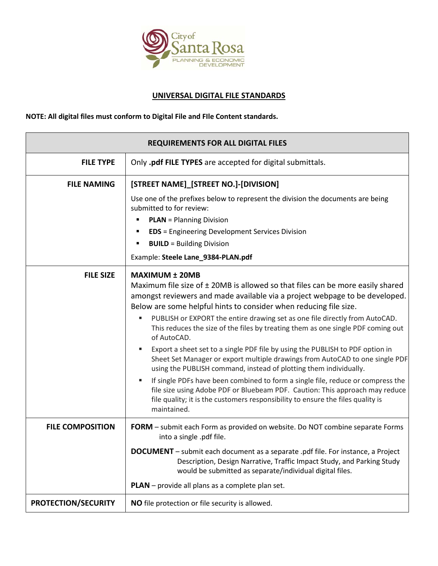

## **UNIVERSAL DIGITAL FILE STANDARDS**

## **NOTE: All digital files must conform to Digital File and FIle Content standards.**

| <b>REQUIREMENTS FOR ALL DIGITAL FILES</b> |                                                                                                                                                                                                                                                                        |
|-------------------------------------------|------------------------------------------------------------------------------------------------------------------------------------------------------------------------------------------------------------------------------------------------------------------------|
| <b>FILE TYPE</b>                          | Only .pdf FILE TYPES are accepted for digital submittals.                                                                                                                                                                                                              |
| <b>FILE NAMING</b>                        | [STREET NAME]_[STREET NO.]-[DIVISION]                                                                                                                                                                                                                                  |
|                                           | Use one of the prefixes below to represent the division the documents are being<br>submitted to for review:                                                                                                                                                            |
|                                           | <b>PLAN</b> = Planning Division                                                                                                                                                                                                                                        |
|                                           | <b>EDS</b> = Engineering Development Services Division                                                                                                                                                                                                                 |
|                                           | <b>BUILD</b> = Building Division                                                                                                                                                                                                                                       |
|                                           | Example: Steele Lane_9384-PLAN.pdf                                                                                                                                                                                                                                     |
| <b>FILE SIZE</b>                          | <b>MAXIMUM ± 20MB</b><br>Maximum file size of ± 20MB is allowed so that files can be more easily shared                                                                                                                                                                |
|                                           | amongst reviewers and made available via a project webpage to be developed.<br>Below are some helpful hints to consider when reducing file size.                                                                                                                       |
|                                           | PUBLISH or EXPORT the entire drawing set as one file directly from AutoCAD.<br>٠<br>This reduces the size of the files by treating them as one single PDF coming out<br>of AutoCAD.                                                                                    |
|                                           | Export a sheet set to a single PDF file by using the PUBLISH to PDF option in<br>٠<br>Sheet Set Manager or export multiple drawings from AutoCAD to one single PDF<br>using the PUBLISH command, instead of plotting them individually.                                |
|                                           | If single PDFs have been combined to form a single file, reduce or compress the<br>٠<br>file size using Adobe PDF or Bluebeam PDF. Caution: This approach may reduce<br>file quality; it is the customers responsibility to ensure the files quality is<br>maintained. |
| <b>FILE COMPOSITION</b>                   | FORM - submit each Form as provided on website. Do NOT combine separate Forms<br>into a single .pdf file.                                                                                                                                                              |
|                                           | <b>DOCUMENT</b> – submit each document as a separate .pdf file. For instance, a Project<br>Description, Design Narrative, Traffic Impact Study, and Parking Study<br>would be submitted as separate/individual digital files.                                          |
|                                           | PLAN - provide all plans as a complete plan set.                                                                                                                                                                                                                       |
| <b>PROTECTION/SECURITY</b>                | NO file protection or file security is allowed.                                                                                                                                                                                                                        |